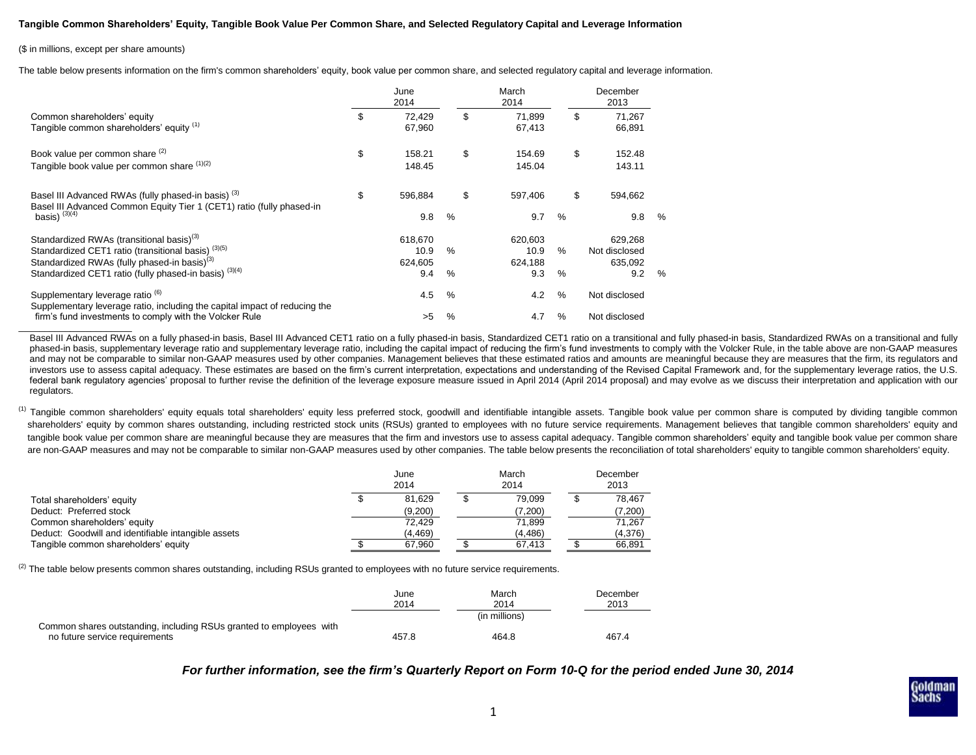## **Tangible Common Shareholders' Equity, Tangible Book Value Per Common Share, and Selected Regulatory Capital and Leverage Information**

## (\$ in millions, except per share amounts)

 $\overline{\phantom{a}}$  , where  $\overline{\phantom{a}}$ 

The table below presents information on the firm's common shareholders' equity, book value per common share, and selected regulatory capital and leverage information.

| Common shareholders' equity<br>Tangible common shareholders' equity (1)                                                                                                                                                                       |    | June<br>2014                      |           | March<br>2014                     |           | December<br>2013                           |               |  |
|-----------------------------------------------------------------------------------------------------------------------------------------------------------------------------------------------------------------------------------------------|----|-----------------------------------|-----------|-----------------------------------|-----------|--------------------------------------------|---------------|--|
|                                                                                                                                                                                                                                               |    | 72.429<br>67,960                  | \$        | 71,899<br>67,413                  |           | \$<br>71,267<br>66,891                     |               |  |
| Book value per common share (2)<br>Tangible book value per common share (1)(2)                                                                                                                                                                | \$ | 158.21<br>148.45                  | \$        | 154.69<br>145.04                  |           | \$<br>152.48<br>143.11                     |               |  |
| Basel III Advanced RWAs (fully phased-in basis) <sup>(3)</sup><br>Basel III Advanced Common Equity Tier 1 (CET1) ratio (fully phased-in<br>basis) $(3)(4)$                                                                                    | \$ | 596,884<br>9.8                    | \$<br>%   | 597.406<br>9.7                    | $\%$      | \$<br>594,662<br>9.8                       | $\frac{0}{0}$ |  |
| Standardized RWAs (transitional basis) <sup>(3)</sup><br>Standardized CET1 ratio (transitional basis) <sup>(3)(5)</sup><br>Standardized RWAs (fully phased-in basis) <sup>(3)</sup><br>Standardized CET1 ratio (fully phased-in basis) (3)(4) |    | 618,670<br>10.9<br>624.605<br>9.4 | $\%$<br>% | 620.603<br>10.9<br>624,188<br>9.3 | $\%$<br>% | 629.268<br>Not disclosed<br>635,092<br>9.2 | %             |  |
| Supplementary leverage ratio <sup>(6)</sup><br>Supplementary leverage ratio, including the capital impact of reducing the<br>firm's fund investments to comply with the Volcker Rule                                                          |    | 4.5<br>>5                         | %<br>%    | 4.2<br>4.7                        | $\%$<br>% | Not disclosed<br>Not disclosed             |               |  |

Basel III Advanced RWAs on a fully phased-in basis, Basel III Advanced CET1 ratio on a fully phased-in basis, Standardized CET1 ratio on a transitional and fully phased-in basis, Standardized RWAs on a transitional and ful phased-in basis, supplementary leverage ratio and supplementary leverage ratio, including the capital impact of reducing the firm's fund investments to comply with the Volcker Rule, in the table above are non-GAAP measures and may not be comparable to similar non-GAAP measures used by other companies. Management believes that these estimated ratios and amounts are meaningful because they are measures that the firm, its regulators and investors use to assess capital adequacy. These estimates are based on the firm's current interpretation, expectations and understanding of the Revised Capital Framework and, for the supplementary leverage ratios, the U.S. federal bank regulatory agencies' proposal to further revise the definition of the leverage exposure measure issued in April 2014 (April 2014 proposal) and may evolve as we discuss their interpretation and application with regulators.

<sup>(1)</sup> Tangible common shareholders' equity equals total shareholders' equity less preferred stock, goodwill and identifiable intangible assets. Tangible book value per common share is computed by dividing tangible common shareholders' equity by common shares outstanding, including restricted stock units (RSUs) granted to employees with no future service requirements. Management believes that tangible common shareholders' equity and tangible book value per common share are meaningful because they are measures that the firm and investors use to assess capital adequacy. Tangible common shareholders' equity and tangible book value per common share are non-GAAP measures and may not be comparable to similar non-GAAP measures used by other companies. The table below presents the reconciliation of total shareholders' equity to tangible common shareholders' equity.

|                                                     | June<br>2014 |          | March<br>2014 |         | December<br>2013 |         |
|-----------------------------------------------------|--------------|----------|---------------|---------|------------------|---------|
| Total shareholders' equity                          |              | 81.629   |               | 79.099  |                  | 78.467  |
| Deduct: Preferred stock                             |              | (9,200)  |               | (7,200) |                  | (7,200) |
| Common shareholders' equity                         |              | 72.429   |               | 71.899  |                  | 71.267  |
| Deduct: Goodwill and identifiable intangible assets |              | (4, 469) |               | (4.486) |                  | (4,376) |
| Tangible common shareholders' equity                |              | 67.960   |               | 67.413  |                  | 66.891  |

 $^{(2)}$  The table below presents common shares outstanding, including RSUs granted to employees with no future service requirements.

|                                                                                                       | June<br>2014 | March<br>2014 | December<br>2013 |
|-------------------------------------------------------------------------------------------------------|--------------|---------------|------------------|
|                                                                                                       |              | (in millions) |                  |
| Common shares outstanding, including RSUs granted to employees with<br>no future service requirements | 457.8        | 464.8         | 467.4            |

*For further information, see the firm's Quarterly Report on Form 10-Q for the period ended June 30, 2014*